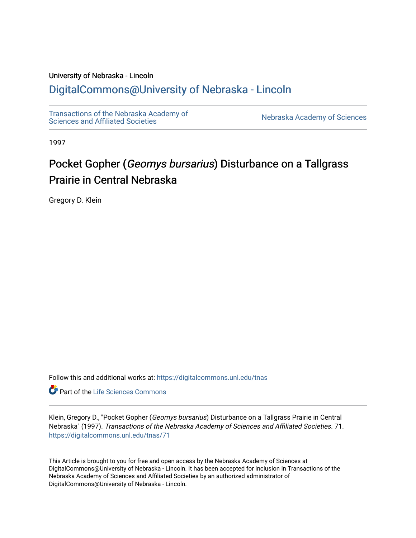# University of Nebraska - Lincoln [DigitalCommons@University of Nebraska - Lincoln](https://digitalcommons.unl.edu/)

[Transactions of the Nebraska Academy of](https://digitalcommons.unl.edu/tnas)  Transactions of the Nebraska Academy of Sciences<br>Sciences and Affiliated Societies

1997

# Pocket Gopher (Geomys bursarius) Disturbance on a Tallgrass Prairie in Central Nebraska

Gregory D. Klein

Follow this and additional works at: [https://digitalcommons.unl.edu/tnas](https://digitalcommons.unl.edu/tnas?utm_source=digitalcommons.unl.edu%2Ftnas%2F71&utm_medium=PDF&utm_campaign=PDFCoverPages) 

**Part of the Life Sciences Commons** 

Klein, Gregory D., "Pocket Gopher (Geomys bursarius) Disturbance on a Tallgrass Prairie in Central Nebraska" (1997). Transactions of the Nebraska Academy of Sciences and Affiliated Societies. 71. [https://digitalcommons.unl.edu/tnas/71](https://digitalcommons.unl.edu/tnas/71?utm_source=digitalcommons.unl.edu%2Ftnas%2F71&utm_medium=PDF&utm_campaign=PDFCoverPages)

This Article is brought to you for free and open access by the Nebraska Academy of Sciences at DigitalCommons@University of Nebraska - Lincoln. It has been accepted for inclusion in Transactions of the Nebraska Academy of Sciences and Affiliated Societies by an authorized administrator of DigitalCommons@University of Nebraska - Lincoln.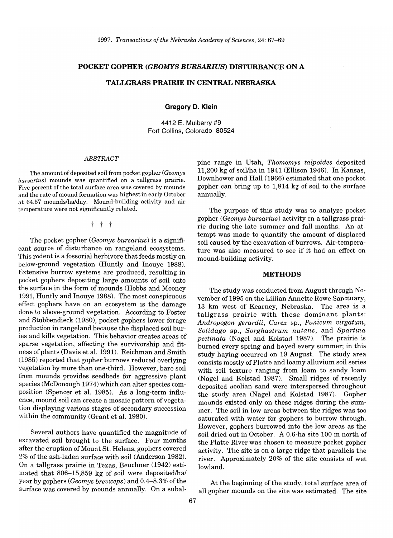#### POCKET GOPHER *(GEOMYS BURSARIUS)* DISTURBANCE ON A

### TALLGRASS PRAIRIE IN CENTRAL NEBRASKA

Gregory D. Klein

4412 E. Mulberry #9 Fort Collins, Colorado 80524

#### *ABSTRACT*

The amount of deposited soil from pocket gopher *(Geomys bursarius)* mounds was quantified on a tallgrass prairie. Five percent of the total surface area was covered by mounds and the rate of mound formation was highest in early October at 64.57 mounds/ha/day. Mound-building activity and air temperature were not significantly related.

t t t

The pocket gopher *(Geomys bursarius)* is a significant source of disturbance on rangeland ecosystems. This rodent is a fossorial herbivore that feeds mostly on below-ground vegetation (Huntly and Inouye 1988). Extensive burrow systems are produced, resulting in pocket gophers depositing large amounts of soil onto the surface in the form of mounds (Hobbs and Mooney 1991, Huntly and Inouye 1988). The most conspicuous effect gophers have on an ecosystem is the damage done to above-ground vegetation. According to Foster and Stubbendieck (1980), pocket gophers lower forage production in rangeland because the displaced soil buries and kills vegetation. This behavior creates areas of sparse vegetation, affecting the survivorship and fitness of plants (Davis et a1. 1991). Reichman and Smith (1985) reported that gopher burrows reduced overlying vegetation by more than one-third. However, bare soil from mounds provides seedbeds for aggressive plant species (McDonough 1974) which can alter species composition (Spencer et a1. 1985). As a long-term influence, mound soil can create a mosaic pattern of vegetation displaying various stages of secondary succession within the community (Grant et al. 1980).

Several authors have quantified the magnitude of excavated soil brought to the surface. Four months after the eruption of Mount St. Helens, gophers covered 2% of the ash-laden surface with soil (Anderson 1982). On a tallgrass prairie in Texas, Beuchner (1942) estimated that 806-15,859 kg of soil were deposited/ha/ year by gophers *(Geomys breviceps)* and 0.4-8.3% of the surface was covered by mounds annually. On a subalpine range in Utah, *Thomomys talpoides* deposited 11,200 kg of soillha in 1941 (Ellison 1946). In Kansas, Downhower and Hall (1966) estimated that one pocket gopher can bring up to 1,814 kg of soil to the surface annually.

The purpose of this study was to analyze pocket gopher *(Geomys bursarius)* activity on a tallgrass prairie during the late summer and fall months. An attempt was made to quantify the amount of displaced soil caused by the excavation of burrows. Air-temperature was also measured to see if it had an effect on mound-building activity.

#### METHODS

The study was conducted from August through November of 1995 on the Lillian Annette Rowe Sanctuary, 13 km west of Kearney, Nebraska. The area is a tallgrass prairie with these dominant plants: *Andropogon gerardii, Carex* sp., *Panicum virgatum, Solidago* sp., *Sorghastrum nutans,* and *Spartina pectinata* (Nagel and Kolstad 1987). The prairie is burned every spring and hayed every summer; in this study haying occurred on 19 August. The study area consists mostly of Platte and loamy alluvium soil series with soil texture ranging from loam to sandy loam (Nagel and Kolstad 1987). Small ridges of recently deposited aeolian sand were interspersed throughout the study area (Nagel and Kolstad 1987). Gopher mounds existed only on these ridges during the summer. The soil in low areas between the ridges was too saturated with water for gophers to burrow through. However, gophers burrowed into the low areas as the soil dried out in October. A 0.6-ha site 100 m north of the Platte River was chosen to measure pocket gopher activity. The site is on a large ridge that parallels the river. Approximately 20% of the site consists of wet lowland.

At the beginning of the study, total surface area of all gopher mounds on the site was estimated. The site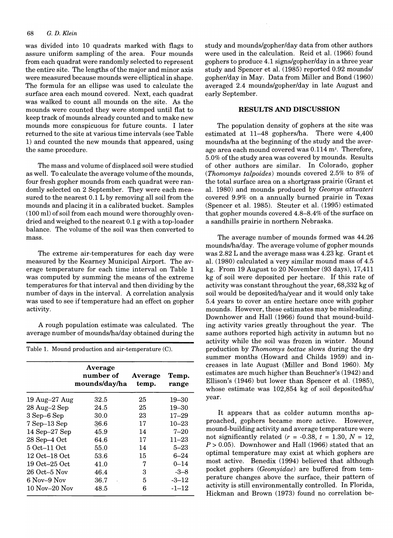## 68 G. *D. Klein*

was divided into 10 quadrats marked with flags to assure uniform sampling of the area. Four mounds from each quadrat were randomly selected to represent the entire site. The lengths of the major and minor axis were measured because mounds were elliptical in shape. The formula for an ellipse was used to calculate the surface area each mound covered. Next, each quadrat was walked to count all mounds on the site. As the mounds were counted they were stomped until flat to keep track of mounds already counted and to make new mounds more conspicuous for future counts. I later returned to the site at various time intervals (see Table 1) and counted the new mounds that appeared, using the same procedure.

The mass and volume of displaced soil were studied as well. To calculate the average volume of the mounds, four fresh gopher mounds from each quadrat were randomly selected on 2 September. They were each measured to the nearest 0.1 L by removing all soil from the mounds and placing it in a calibrated bucket. Samples (100 ml) of soil from each mound were thoroughly ovendried and weighed to the nearest 0.1 g with a top-loader balance. The volume of the soil was then converted to mass.

The extreme air-temperatures for each day were measured by the Kearney Municipal Airport. The average temperature for each time interval on Table 1 was computed by summing the means of the extreme temperatures for that interval and then dividing by the number of days in the interval. A correlation analysis was used to see if temperature had an effect on gopher activity.

A rough population estimate was calculated. The average number of mounds/halday obtained during the

Table 1. Mound production and air-temperature (C).

|                    | Average<br>number of<br>mounds/day/ha | Average<br>temp. | Temp.<br>range |
|--------------------|---------------------------------------|------------------|----------------|
| $19$ Aug- $27$ Aug | 32.5                                  | 25               | 19–30          |
| 28 Aug–2 Sep       | 24.5                                  | 25               | 19–30          |
| 3 Sep–6 Sep        | 30.0                                  | 23               | $17 - 29$      |
| $7$ Sep $-13$ Sep  | 36.6                                  | 17               | $10 - 23$      |
| 14 Sep-27 Sep      | 45.9                                  | 14               | $7 - 20$       |
| 28 Sep-4 Oct       | 64.6                                  | 17               | $11 - 23$      |
| 5 Oct–11 Oct       | 55.0                                  | 14               | $5 - 23$       |
| 12 Oct–18 Oct      | 53.6                                  | 15               | $6 - 24$       |
| 19 Oct–25 Oct      | 41.0                                  | 7                | $0 - 14$       |
| 26 Oct–5 Nov       | 46.4                                  | з                | $-3-8$         |
| 6 Nov–9 Nov        | 36.7                                  | 5                | $-3 - 12$      |
| 10 Nov–20 Nov      | 48.5                                  | 6                | $-1 - 12$      |

study and mounds/gopher/day data from other authors were used in the calculation. Reid et al. (1966) found gophers to produce 4.1 signs/gopher/day in a three year study and Spencer et al. (1985) reported 0.92 mounds/ gopher/day in May. Data from Miller and Bond (1960) averaged 2.4 mounds/gopher/day in late August and early September.

#### RESULTS AND DISCUSSION

The population density of gophers at the site was estimated at 11-48 gophers/ha. There were 4,400 mounds/ha at the beginning of the study and the average area each mound covered was 0.114 m'. Therefore, 5.0% ofthe study area was covered by mounds. Results of other authors are similar. In Colorado, gopher *(Thomomys talpoides)* mounds covered 2.5% to 8% of the total surface area on a shortgrass prairie (Grant et al. 1980) and mounds produced by *Geomys attwateri*  covered 9.9% on a annually burned prairie in Texas (Spencer et al. 1985). Steuter et al. (1995) estimated that gopher mounds covered  $4.8-8.4\%$  of the surface on a sandhills prairie in northern Nebraska.

The average number of mounds formed was 44.26 mounds/halday. The average volume of gopher mounds was 2.82 L and the average mass was 4.23 kg. Grant et al. (1980) calculated avery similar mound mass of 4.5 kg. From 19 August to 20 November (93 days), 17,411 kg of soil were deposited per hectare. If this rate of activity was constant throughout the year, 68,332 kg of soil would be deposited/ha/year and it would only take 5.4 years to cover an entire hectare once with gopher mounds. However, these estimates may be misleading. Downhower and Hall (1966) found that mound-building activity varies greatly throughout the year. The same authors reported high activity in autumn but no activity while the soil was frozen in winter. Mound production by *Thomomys bottae* slows during the dry summer months (Howard and Childs 1959) and increases in late August (Miller and Bond 1960). My estimates are much higher than Beuchner's (1942) and Ellison's (1946) but lower than Spencer et aL (1985), whose estimate was 102,854 kg of soil deposited/ha/ year.

It appears that as colder autumn months approached, gophers became more active. However, mound-building activity and average temperature were not significantly related  $(r = -0.38, t = 1.30, N = 12,$ *P>* 0.05). Downhower and Hall (1966) stated that an optimal temperature may exist at which gophers are most active. Benedix (1994) believed that although pocket gophers *(Geomyidae)* are buffered from temperature changes above the surface, their pattern of activity is still environmentally controlled. In Florida, Hickman and Brown (1973) found no correlation be